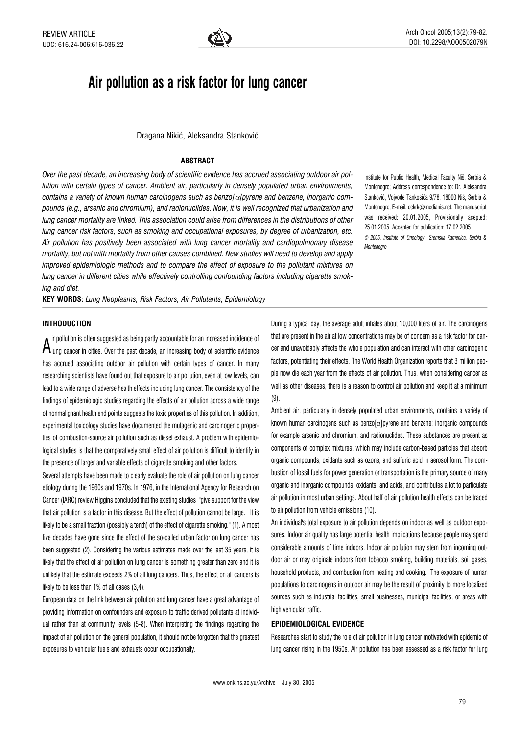

# Air pollution as a risk factor for lung cancer

Dragana Nikić, Aleksandra Stanković

## **ABSTRACT**

Over the past decade, an increasing body of scientific evidence has accrued associating outdoor air pollution with certain types of cancer. Ambient air, particularly in densely populated urban environments, contains a variety of known human carcinogens such as benzo $\lceil \alpha \rceil$  or and benzene, inorganic compounds (e.g., arsenic and chromium), and radionuclides. Now, it is well recognized that urbanization and lung cancer mortality are linked. This association could arise from differences in the distributions of other lung cancer risk factors, such as smoking and occupational exposures, by degree of urbanization, etc. Air pollution has positively been associated with lung cancer mortality and cardiopulmonary disease mortality, but not with mortality from other causes combined. New studies will need to develop and apply improved epidemiologic methods and to compare the effect of exposure to the pollutant mixtures on lung cancer in different cities while effectively controlling confounding factors including cigarette smoking and diet.

KEY WORDS: Lung Neoplasms; Risk Factors; Air Pollutants; Epidemiology

## **INTRODUCTION**

A remeasure can expect the past decade, an increasing body of scientific evidence ir pollution is often suggested as being partly accountable for an increased incidence of has accrued associating outdoor air pollution with certain types of cancer. In many researching scientists have found out that exposure to air pollution, even at low levels, can lead to a wide range of adverse health effects including lung cancer. The consistency of the findings of epidemiologic studies regarding the effects of air pollution across a wide range of nonmalignant health end points suggests the toxic properties of this pollution. In addition, experimental toxicology studies have documented the mutagenic and carcinogenic properties of combustion-source air pollution such as diesel exhaust. A problem with epidemiological studies is that the comparatively small effect of air pollution is difficult to identify in the presence of larger and variable effects of cigarette smoking and other factors.

Several attempts have been made to clearly evaluate the role of air pollution on lung cancer etiology during the 1960s and 1970s. In 1976, in the International Agency for Research on Cancer (IARC) review Higgins concluded that the existing studies ''give support for the view that air pollution is a factor in this disease. But the effect of pollution cannot be large. It is likely to be a small fraction (possibly a tenth) of the effect of cigarette smoking.'' (1). Almost five decades have gone since the effect of the so-called urban factor on lung cancer has been suggested (2). Considering the various estimates made over the last 35 years, it is likely that the effect of air pollution on lung cancer is something greater than zero and it is unlikely that the estimate exceeds 2% of all lung cancers. Thus, the effect on all cancers is likely to be less than 1% of all cases (3,4).

European data on the link between air pollution and lung cancer have a great advantage of providing information on confounders and exposure to traffic derived pollutants at individual rather than at community levels (5-8). When interpreting the findings regarding the impact of air pollution on the general population, it should not be forgotten that the greatest exposures to vehicular fuels and exhausts occur occupationally.

Institute for Public Health, Medical Faculty Niš, Serbia & Montenegro; Address correspondence to: Dr. Aleksandra Stanković, Vojvode Tankosića 9/78, 18000 Niš, Serbia & Montenegro, E-mail: cekrk@medianis.net; The manuscript was received: 20.01.2005, Provisionally acepted: 25.01.2005, Accepted for publication: 17.02.2005 © 2005, Institute of Oncology Sremska Kamenica, Serbia & **Montenegro** 

During a typical day, the average adult inhales about 10,000 liters of air. The carcinogens that are present in the air at low concentrations may be of concern as a risk factor for cancer and unavoidably affects the whole population and can interact with other carcinogenic factors, potentiating their effects. The World Health Organization reports that 3 million people now die each year from the effects of air pollution. Thus, when considering cancer as well as other diseases, there is a reason to control air pollution and keep it at a minimum (9).

Ambient air, particularly in densely populated urban environments, contains a variety of known human carcinogens such as benzo $[\alpha]$ pyrene and benzene; inorganic compounds for example arsenic and chromium, and radionuclides. These substances are present as components of complex mixtures, which may include carbon-based particles that absorb organic compounds, oxidants such as ozone, and sulfuric acid in aerosol form. The combustion of fossil fuels for power generation or transportation is the primary source of many organic and inorganic compounds, oxidants, and acids, and contributes a lot to particulate air pollution in most urban settings. About half of air pollution health effects can be traced to air pollution from vehicle emissions (10).

An individual's total exposure to air pollution depends on indoor as well as outdoor exposures. Indoor air quality has large potential health implications because people may spend considerable amounts of time indoors. Indoor air pollution may stem from incoming outdoor air or may originate indoors from tobacco smoking, building materials, soil gases, household products, and combustion from heating and cooking. The exposure of human populations to carcinogens in outdoor air may be the result of proximity to more localized sources such as industrial facilities, small businesses, municipal facilities, or areas with high vehicular traffic.

## EPIDEMIOLOGICAL EVIDENCE

Researches start to study the role of air pollution in lung cancer motivated with epidemic of lung cancer rising in the 1950s. Air pollution has been assessed as a risk factor for lung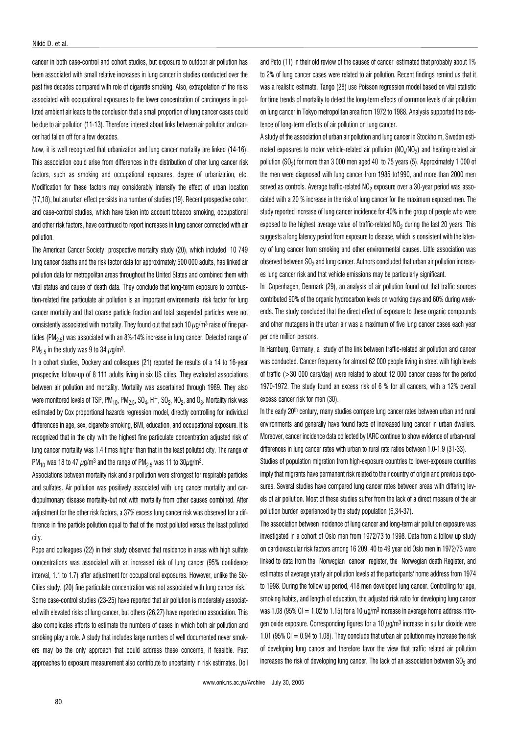cancer in both case-control and cohort studies, but exposure to outdoor air pollution has been associated with small relative increases in lung cancer in studies conducted over the past five decades compared with role of cigarette smoking. Also, extrapolation of the risks associated with occupational exposures to the lower concentration of carcinogens in polluted ambient air leads to the conclusion that a small proportion of lung cancer cases could be due to air pollution (11-13). Therefore, interest about links between air pollution and cancer had fallen off for a few decades.

Now, it is well recognized that urbanization and lung cancer mortality are linked (14-16). This association could arise from differences in the distribution of other lung cancer risk factors, such as smoking and occupational exposures, degree of urbanization, etc. Modification for these factors may considerably intensify the effect of urban location (17,18), but an urban effect persists in a number of studies (19). Recent prospective cohort and case-control studies, which have taken into account tobacco smoking, occupational and other risk factors, have continued to report increases in lung cancer connected with air pollution.

The American Cancer Society prospective mortality study (20), which included 10 749 lung cancer deaths and the risk factor data for approximately 500 000 adults, has linked air pollution data for metropolitan areas throughout the United States and combined them with vital status and cause of death data. They conclude that long-term exposure to combustion-related fine particulate air pollution is an important environmental risk factor for lung cancer mortality and that coarse particle fraction and total suspended particles were not consistently associated with mortality. They found out that each 10  $\mu$ g/m<sup>3</sup> raise of fine particles (PM<sub>2.5</sub>) was associated with an 8%-14% increase in lung cancer. Detected range of PM<sub>2.5</sub> in the study was 9 to 34  $\mu$ g/m<sup>3</sup>.

In a cohort studies, Dockery and colleagues (21) reported the results of a 14 to 16-year prospective follow-up of 8 111 adults living in six US cities. They evaluated associations between air pollution and mortality. Mortality was ascertained through 1989. They also were monitored levels of TSP,  $PM_{10}$ ,  $PM_{2.5}$ ,  $SO_4$ ,  $H^+$ ,  $SO_2$ ,  $NO_2$ , and  $O_3$ . Mortality risk was estimated by Cox proportional hazards regression model, directly controlling for individual differences in age, sex, cigarette smoking, BMI, education, and occupational exposure. It is recognized that in the city with the highest fine particulate concentration adjusted risk of lung cancer mortality was 1.4 times higher than that in the least polluted city. The range of PM<sub>10</sub> was 18 to 47  $\mu$ g/m<sup>3</sup> and the range of PM<sub>2.5</sub> was 11 to 30 $\mu$ g/m<sup>3</sup>.

Associations between mortality risk and air pollution were strongest for respirable particles and sulfates. Air pollution was positively associated with lung cancer mortality and cardiopulmonary disease mortality-but not with mortality from other causes combined. After adjustment for the other risk factors, a 37% excess lung cancer risk was observed for a difference in fine particle pollution equal to that of the most polluted versus the least polluted city.

Pope and colleagues (22) in their study observed that residence in areas with high sulfate concentrations was associated with an increased risk of lung cancer (95% confidence interval, 1.1 to 1.7) after adjustment for occupational exposures. However, unlike the Six-Cities study, (20) fine particulate concentration was not associated with lung cancer risk. Some case-control studies (23-25) have reported that air pollution is moderately associated with elevated risks of lung cancer, but others (26,27) have reported no association. This also complicates efforts to estimate the numbers of cases in which both air pollution and smoking play a role. A study that includes large numbers of well documented never smokers may be the only approach that could address these concerns, if feasible. Past approaches to exposure measurement also contribute to uncertainty in risk estimates. Doll and Peto (11) in their old review of the causes of cancer estimated that probably about 1% to 2% of lung cancer cases were related to air pollution. Recent findings remind us that it was a realistic estimate. Tango (28) use Poisson regression model based on vital statistic for time trends of mortality to detect the long-term effects of common levels of air pollution on lung cancer in Tokyo metropolitan area from 1972 to 1988. Analysis supported the existence of long-term effects of air pollution on lung cancer.

A study of the association of urban air pollution and lung cancer in Stockholm, Sweden estimated exposures to motor vehicle-related air pollution (NO<sub>x</sub>/NO<sub>2</sub>) and heating-related air pollution (SO<sub>2</sub>) for more than 3 000 men aged 40 to 75 years (5). Approximately 1 000 of the men were diagnosed with lung cancer from 1985 to1990, and more than 2000 men served as controls. Average traffic-related NO<sub>2</sub> exposure over a 30-year period was associated with a 20 % increase in the risk of lung cancer for the maximum exposed men. The study reported increase of lung cancer incidence for 40% in the group of people who were exposed to the highest average value of traffic-related  $NO<sub>2</sub>$  during the last 20 years. This suggests a long latency period from exposure to disease, which is consistent with the latency of lung cancer from smoking and other environmental causes. Little association was observed between  $SO<sub>2</sub>$  and lung cancer. Authors concluded that urban air pollution increases lung cancer risk and that vehicle emissions may be particularly significant.

In Copenhagen, Denmark (29), an analysis of air pollution found out that traffic sources contributed 90% of the organic hydrocarbon levels on working days and 60% during weekends. The study concluded that the direct effect of exposure to these organic compounds and other mutagens in the urban air was a maximum of five lung cancer cases each year per one million persons.

In Hamburg, Germany, a study of the link between traffic-related air pollution and cancer was conducted. Cancer frequency for almost 62 000 people living in street with high levels of traffic (>30 000 cars/day) were related to about 12 000 cancer cases for the period 1970-1972. The study found an excess risk of 6 % for all cancers, with a 12% overall excess cancer risk for men (30).

In the early 20th century, many studies compare lung cancer rates between urban and rural environments and generally have found facts of increased lung cancer in urban dwellers. Moreover, cancer incidence data collected by IARC continue to show evidence of urban-rural differences in lung cancer rates with urban to rural rate ratios between 1.0-1.9 (31-33).

Studies of population migration from high-exposure countries to lower-exposure countries imply that migrants have permanent risk related to their country of origin and previous exposures. Several studies have compared lung cancer rates between areas with differing levels of air pollution. Most of these studies suffer from the lack of a direct measure of the air pollution burden experienced by the study population (6,34-37).

The association between incidence of lung cancer and long-term air pollution exposure was investigated in a cohort of Oslo men from 1972/73 to 1998. Data from a follow up study on cardiovascular risk factors among 16 209, 40 to 49 year old Oslo men in 1972/73 were linked to data from the Norwegian cancer register, the Norwegian death Register, and estimates of average yearly air pollution levels at the participants' home address from 1974 to 1998. During the follow up period, 418 men developed lung cancer. Controlling for age, smoking habits, and length of education, the adjusted risk ratio for developing lung cancer was 1.08 (95% CI = 1.02 to 1.15) for a 10  $\mu$ g/m<sup>3</sup> increase in average home address nitrogen oxide exposure. Corresponding figures for a 10  $\mu$ g/m<sup>3</sup> increase in sulfur dioxide were 1.01 (95% CI =  $0.94$  to 1.08). They conclude that urban air pollution may increase the risk of developing lung cancer and therefore favor the view that traffic related air pollution increases the risk of developing lung cancer. The lack of an association between  $SO<sub>2</sub>$  and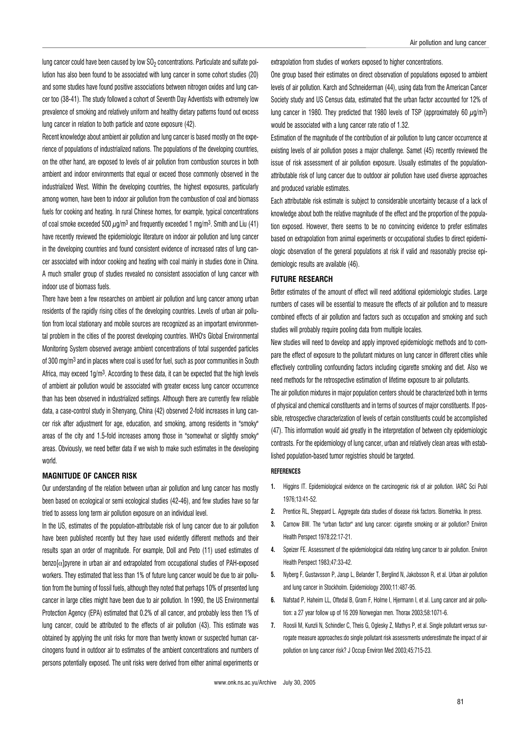lung cancer could have been caused by low  $SO<sub>2</sub>$  concentrations. Particulate and sulfate pollution has also been found to be associated with lung cancer in some cohort studies (20) and some studies have found positive associations between nitrogen oxides and lung cancer too (38-41). The study followed a cohort of Seventh Day Adventists with extremely low prevalence of smoking and relatively uniform and healthy dietary patterns found out excess lung cancer in relation to both particle and ozone exposure (42).

Recent knowledge about ambient air pollution and lung cancer is based mostly on the experience of populations of industrialized nations. The populations of the developing countries, on the other hand, are exposed to levels of air pollution from combustion sources in both ambient and indoor environments that equal or exceed those commonly observed in the industrialized West. Within the developing countries, the highest exposures, particularly among women, have been to indoor air pollution from the combustion of coal and biomass fuels for cooking and heating. In rural Chinese homes, for example, typical concentrations of coal smoke exceeded 500  $\mu$ g/m<sup>3</sup> and frequently exceeded 1 mg/m<sup>3</sup>. Smith and Liu (41) have recently reviewed the epidemiologic literature on indoor air pollution and lung cancer in the developing countries and found consistent evidence of increased rates of lung cancer associated with indoor cooking and heating with coal mainly in studies done in China. A much smaller group of studies revealed no consistent association of lung cancer with indoor use of biomass fuels.

There have been a few researches on ambient air pollution and lung cancer among urban residents of the rapidly rising cities of the developing countries. Levels of urban air pollution from local stationary and mobile sources are recognized as an important environmental problem in the cities of the poorest developing countries. WHO's Global Environmental Monitoring System observed average ambient concentrations of total suspended particles of 300 mg/m3 and in places where coal is used for fuel, such as poor communities in South Africa, may exceed 1g/m3. According to these data, it can be expected that the high levels of ambient air pollution would be associated with greater excess lung cancer occurrence than has been observed in industrialized settings. Although there are currently few reliable data, a case-control study in Shenyang, China (42) observed 2-fold increases in lung cancer risk after adjustment for age, education, and smoking, among residents in "smoky" areas of the city and 1.5-fold increases among those in "somewhat or slightly smoky" areas. Obviously, we need better data if we wish to make such estimates in the developing world.

## MAGNITUDE OF CANCER RISK

Our understanding of the relation between urban air pollution and lung cancer has mostly been based on ecological or semi ecological studies (42-46), and few studies have so far tried to assess long term air pollution exposure on an individual level.

In the US, estimates of the population-attributable risk of lung cancer due to air pollution have been published recently but they have used evidently different methods and their results span an order of magnitude. For example, Doll and Peto (11) used estimates of benzo $\alpha$ ]pyrene in urban air and extrapolated from occupational studies of PAH-exposed workers. They estimated that less than 1% of future lung cancer would be due to air pollution from the burning of fossil fuels, although they noted that perhaps 10% of presented lung cancer in large cities might have been due to air pollution. In 1990, the US Environmental Protection Agency (EPA) estimated that 0.2% of all cancer, and probably less then 1% of lung cancer, could be attributed to the effects of air pollution (43). This estimate was obtained by applying the unit risks for more than twenty known or suspected human carcinogens found in outdoor air to estimates of the ambient concentrations and numbers of persons potentially exposed. The unit risks were derived from either animal experiments or extrapolation from studies of workers exposed to higher concentrations.

One group based their estimates on direct observation of populations exposed to ambient levels of air pollution. Karch and Schneiderman (44), using data from the American Cancer Society study and US Census data, estimated that the urban factor accounted for 12% of lung cancer in 1980. They predicted that 1980 levels of TSP (approximately 60  $\mu$ g/m<sup>3</sup>) would be associated with a lung cancer rate ratio of 1.32.

Estimation of the magnitude of the contribution of air pollution to lung cancer occurrence at existing levels of air pollution poses a major challenge. Samet (45) recently reviewed the issue of risk assessment of air pollution exposure. Usually estimates of the populationattributable risk of lung cancer due to outdoor air pollution have used diverse approaches and produced variable estimates.

Each attributable risk estimate is subject to considerable uncertainty because of a lack of knowledge about both the relative magnitude of the effect and the proportion of the population exposed. However, there seems to be no convincing evidence to prefer estimates based on extrapolation from animal experiments or occupational studies to direct epidemiologic observation of the general populations at risk if valid and reasonably precise epidemiologic results are available (46).

## FUTURE RESEARCH

Better estimates of the amount of effect will need additional epidemiologic studies. Large numbers of cases will be essential to measure the effects of air pollution and to measure combined effects of air pollution and factors such as occupation and smoking and such studies will probably require pooling data from multiple locales.

New studies will need to develop and apply improved epidemiologic methods and to compare the effect of exposure to the pollutant mixtures on lung cancer in different cities while effectively controlling confounding factors including cigarette smoking and diet. Also we need methods for the retrospective estimation of lifetime exposure to air pollutants.

The air pollution mixtures in major population centers should be characterized both in terms of physical and chemical constituents and in terms of sources of major constituents. If possible, retrospective characterization of levels of certain constituents could be accomplished (47). This information would aid greatly in the interpretation of between city epidemiologic contrasts. For the epidemiology of lung cancer, urban and relatively clean areas with established population-based tumor registries should be targeted.

## **REFERENCES**

- 1. Higgins IT. Epidemiological evidence on the carcinogenic risk of air pollution. IARC Sci Publ 1976;13:41-52.
- 2. Prentice RL, Sheppard L. Aggregate data studies of disease risk factors. Biometrika. In press.
- 3. Carnow BW. The "urban factor" and lung cancer: cigarette smoking or air pollution? Environ Health Perspect 1978;22:17-21.
- 4. Speizer FE. Assessment of the epidemiological data relating lung cancer to air pollution. Environ Health Perspect 1983;47:33-42.
- 5. Nyberg F, Gustavsson P, Jarup L, Belander T, Berglind N, Jakobsson R, et al. Urban air pollution and lung cancer in Stockholm. Epidemiology 2000;11:487-95.
- 6. Nafstad P, Haheim LL, Oftedal B, Gram F, Holme I, Hjermann I, et al. Lung cancer and air pollution: a 27 year follow up of 16 209 Norwegian men. Thorax 2003;58:1071-6.
- 7. Roosli M, Kunzli N, Schindler C, Theis G, Oglesky Z, Mathys P, et al. Single pollutant versus surrogate measure approaches:do single pollutant risk assessments underestimate the impact of air pollution on lung cancer risk? J Occup Environ Med 2003;45:715-23.